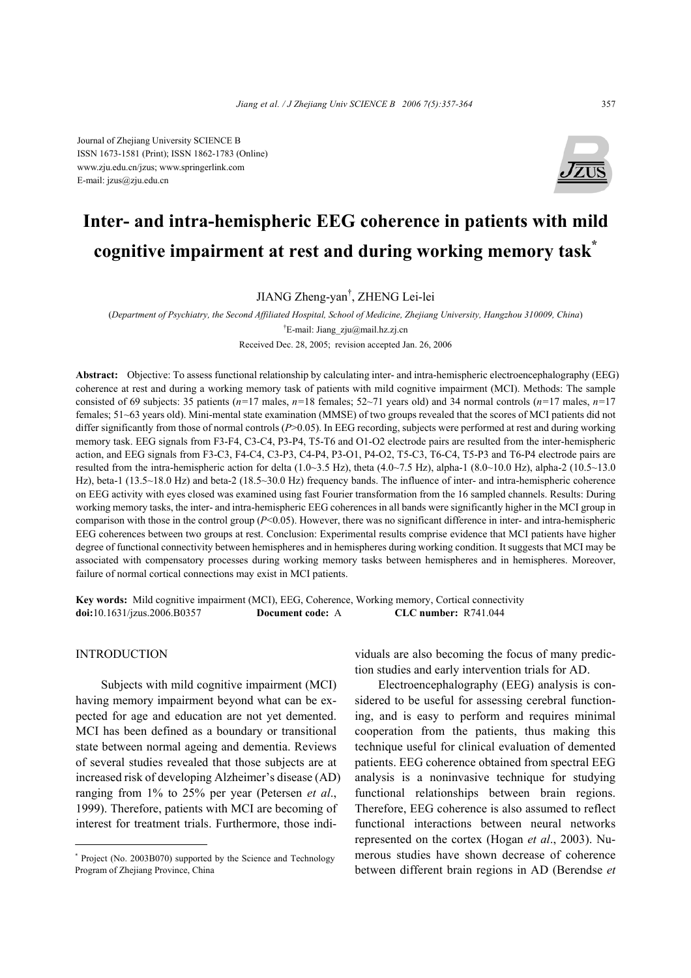Journal of Zhejiang University SCIENCE B ISSN 1673-1581 (Print); ISSN 1862-1783 (Online) www.zju.edu.cn/jzus; www.springerlink.com E-mail: jzus@zju.edu.cn



# **Inter- and intra-hemispheric EEG coherence in patients with mild cognitive impairment at rest and during working memory task\***

JIANG Zheng-yan† , ZHENG Lei-lei

(*Department of Psychiatry, the Second Affiliated Hospital, School of Medicine, Zhejiang University, Hangzhou 310009, China*) † E-mail: Jiang\_zju@mail.hz.zj.cn

Received Dec. 28, 2005; revision accepted Jan. 26, 2006

**Abstract:** Objective: To assess functional relationship by calculating inter- and intra-hemispheric electroencephalography (EEG) coherence at rest and during a working memory task of patients with mild cognitive impairment (MCI). Methods: The sample consisted of 69 subjects: 35 patients ( $n=17$  males,  $n=18$  females;  $52{\sim}71$  years old) and 34 normal controls ( $n=17$  males,  $n=17$ females; 51~63 years old). Mini-mental state examination (MMSE) of two groups revealed that the scores of MCI patients did not differ significantly from those of normal controls (*P*>0.05). In EEG recording, subjects were performed at rest and during working memory task. EEG signals from F3-F4, C3-C4, P3-P4, T5-T6 and O1-O2 electrode pairs are resulted from the inter-hemispheric action, and EEG signals from F3-C3, F4-C4, C3-P3, C4-P4, P3-O1, P4-O2, T5-C3, T6-C4, T5-P3 and T6-P4 electrode pairs are resulted from the intra-hemispheric action for delta (1.0~3.5 Hz), theta (4.0~7.5 Hz), alpha-1 (8.0~10.0 Hz), alpha-2 (10.5~13.0 Hz), beta-1 (13.5~18.0 Hz) and beta-2 (18.5~30.0 Hz) frequency bands. The influence of inter- and intra-hemispheric coherence on EEG activity with eyes closed was examined using fast Fourier transformation from the 16 sampled channels. Results: During working memory tasks, the inter- and intra-hemispheric EEG coherences in all bands were significantly higher in the MCI group in comparison with those in the control group (*P*<0.05). However, there was no significant difference in inter- and intra-hemispheric EEG coherences between two groups at rest. Conclusion: Experimental results comprise evidence that MCI patients have higher degree of functional connectivity between hemispheres and in hemispheres during working condition. It suggests that MCI may be associated with compensatory processes during working memory tasks between hemispheres and in hemispheres. Moreover, failure of normal cortical connections may exist in MCI patients.

**Key words:** Mild cognitive impairment (MCI), EEG, Coherence, Working memory, Cortical connectivity **doi:**10.1631/jzus.2006.B0357 **Document code:** A **CLC number:** R741.044

## INTRODUCTION

Subjects with mild cognitive impairment (MCI) having memory impairment beyond what can be expected for age and education are not yet demented. MCI has been defined as a boundary or transitional state between normal ageing and dementia. Reviews of several studies revealed that those subjects are at increased risk of developing Alzheimer's disease (AD) ranging from 1% to 25% per year (Petersen *et al*., 1999). Therefore, patients with MCI are becoming of interest for treatment trials. Furthermore, those individuals are also becoming the focus of many prediction studies and early intervention trials for AD.

Electroencephalography (EEG) analysis is considered to be useful for assessing cerebral functioning, and is easy to perform and requires minimal cooperation from the patients, thus making this technique useful for clinical evaluation of demented patients. EEG coherence obtained from spectral EEG analysis is a noninvasive technique for studying functional relationships between brain regions. Therefore, EEG coherence is also assumed to reflect functional interactions between neural networks represented on the cortex (Hogan *et al*., 2003). Numerous studies have shown decrease of coherence between different brain regions in AD (Berendse *et* 

<sup>\*</sup> Project (No. 2003B070) supported by the Science and Technology Program of Zhejiang Province, China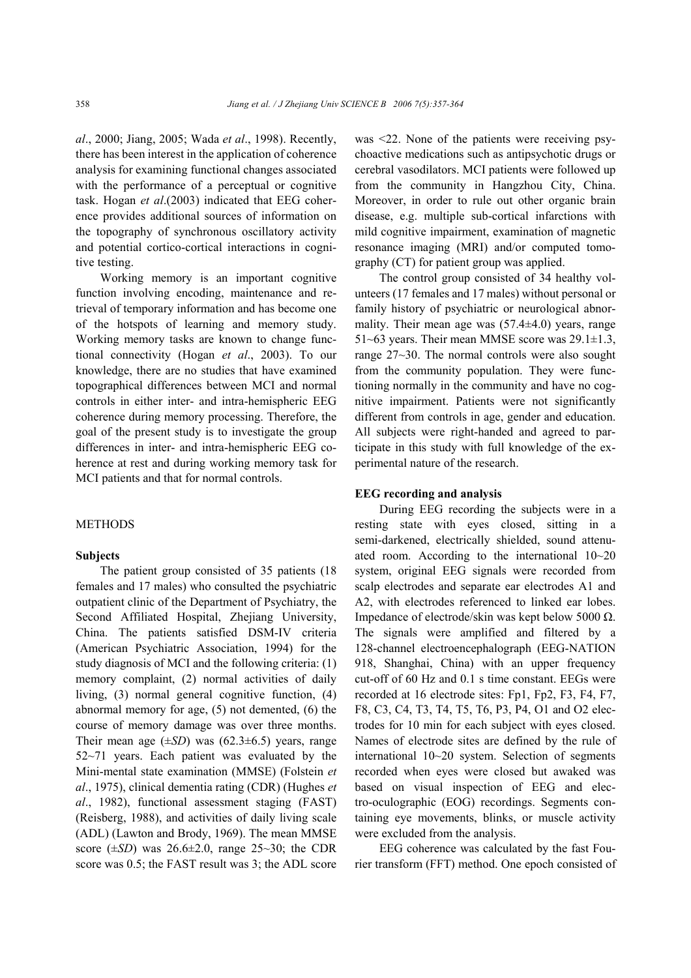*al*., 2000; Jiang, 2005; Wada *et al*., 1998). Recently, there has been interest in the application of coherence analysis for examining functional changes associated with the performance of a perceptual or cognitive task. Hogan *et al*.(2003) indicated that EEG coherence provides additional sources of information on the topography of synchronous oscillatory activity and potential cortico-cortical interactions in cognitive testing.

Working memory is an important cognitive function involving encoding, maintenance and retrieval of temporary information and has become one of the hotspots of learning and memory study. Working memory tasks are known to change functional connectivity (Hogan *et al*., 2003). To our knowledge, there are no studies that have examined topographical differences between MCI and normal controls in either inter- and intra-hemispheric EEG coherence during memory processing. Therefore, the goal of the present study is to investigate the group differences in inter- and intra-hemispheric EEG coherence at rest and during working memory task for MCI patients and that for normal controls.

#### METHODS

## **Subjects**

The patient group consisted of 35 patients (18 females and 17 males) who consulted the psychiatric outpatient clinic of the Department of Psychiatry, the Second Affiliated Hospital, Zhejiang University, China. The patients satisfied DSM-IV criteria (American Psychiatric Association, 1994) for the study diagnosis of MCI and the following criteria: (1) memory complaint, (2) normal activities of daily living, (3) normal general cognitive function, (4) abnormal memory for age, (5) not demented, (6) the course of memory damage was over three months. Their mean age  $(\pm SD)$  was  $(62.3\pm6.5)$  years, range 52~71 years. Each patient was evaluated by the Mini-mental state examination (MMSE) (Folstein *et al*., 1975), clinical dementia rating (CDR) (Hughes *et al*., 1982), functional assessment staging (FAST) (Reisberg, 1988), and activities of daily living scale (ADL) (Lawton and Brody, 1969). The mean MMSE score  $(\pm SD)$  was  $26.6\pm 2.0$ , range  $25\sim 30$ ; the CDR score was 0.5; the FAST result was 3; the ADL score was <22. None of the patients were receiving psychoactive medications such as antipsychotic drugs or cerebral vasodilators. MCI patients were followed up from the community in Hangzhou City, China. Moreover, in order to rule out other organic brain disease, e.g. multiple sub-cortical infarctions with mild cognitive impairment, examination of magnetic resonance imaging (MRI) and/or computed tomography (CT) for patient group was applied.

The control group consisted of 34 healthy volunteers (17 females and 17 males) without personal or family history of psychiatric or neurological abnormality. Their mean age was (57.4±4.0) years, range 51~63 years. Their mean MMSE score was  $29.1 \pm 1.3$ , range 27~30. The normal controls were also sought from the community population. They were functioning normally in the community and have no cognitive impairment. Patients were not significantly different from controls in age, gender and education. All subjects were right-handed and agreed to participate in this study with full knowledge of the experimental nature of the research.

## **EEG recording and analysis**

During EEG recording the subjects were in a resting state with eyes closed, sitting in a semi-darkened, electrically shielded, sound attenuated room. According to the international 10~20 system, original EEG signals were recorded from scalp electrodes and separate ear electrodes A1 and A2, with electrodes referenced to linked ear lobes. Impedance of electrode/skin was kept below 5000 Ω. The signals were amplified and filtered by a 128-channel electroencephalograph (EEG-NATION 918, Shanghai, China) with an upper frequency cut-off of 60 Hz and 0.1 s time constant. EEGs were recorded at 16 electrode sites: Fp1, Fp2, F3, F4, F7, F8, C3, C4, T3, T4, T5, T6, P3, P4, O1 and O2 electrodes for 10 min for each subject with eyes closed. Names of electrode sites are defined by the rule of international 10~20 system. Selection of segments recorded when eyes were closed but awaked was based on visual inspection of EEG and electro-oculographic (EOG) recordings. Segments containing eye movements, blinks, or muscle activity were excluded from the analysis.

EEG coherence was calculated by the fast Fourier transform (FFT) method. One epoch consisted of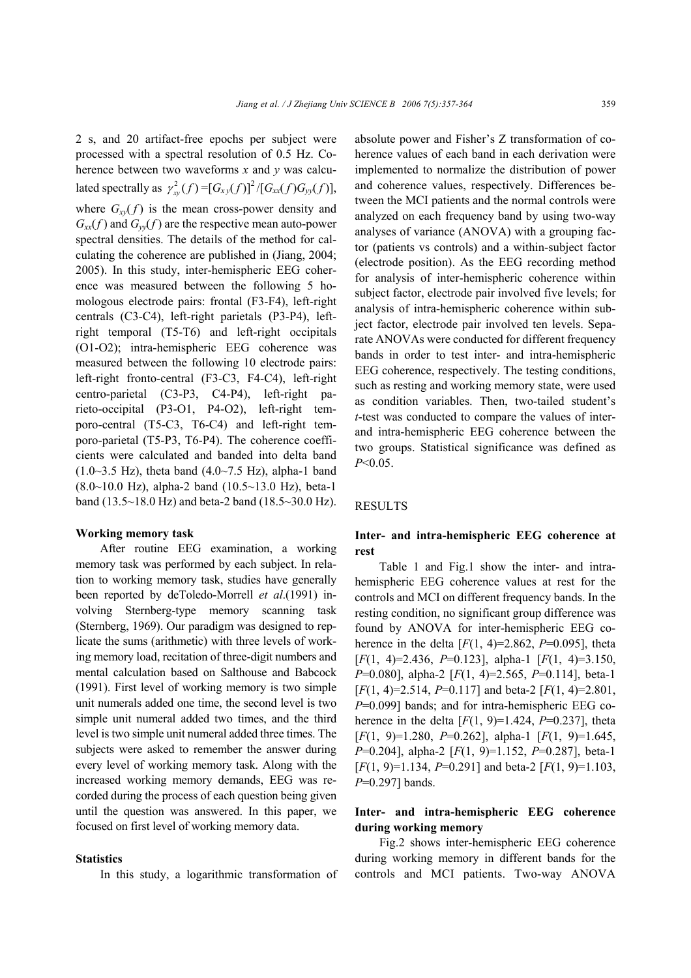2 s, and 20 artifact-free epochs per subject were processed with a spectral resolution of 0.5 Hz. Coherence between two waveforms *x* and *y* was calculated spectrally as  $\gamma_{\rm w}^2(f) = [G_{\rm xv}(f)]^2/[G_{\rm xx}(f)G_{\rm yv}(f)],$ where  $G_{xy}(f)$  is the mean cross-power density and  $G_{xx}(f)$  and  $G_{yy}(f)$  are the respective mean auto-power spectral densities. The details of the method for calculating the coherence are published in (Jiang, 2004; 2005). In this study, inter-hemispheric EEG coherence was measured between the following 5 homologous electrode pairs: frontal (F3-F4), left-right centrals (C3-C4), left-right parietals (P3-P4), leftright temporal (T5-T6) and left-right occipitals (O1-O2); intra-hemispheric EEG coherence was measured between the following 10 electrode pairs: left-right fronto-central (F3-C3, F4-C4), left-right centro-parietal (C3-P3, C4-P4), left-right parieto-occipital (P3-O1, P4-O2), left-right temporo-central (T5-C3, T6-C4) and left-right temporo-parietal (T5-P3, T6-P4). The coherence coefficients were calculated and banded into delta band  $(1.0~3.5~\text{Hz})$ , theta band  $(4.0~7.5~\text{Hz})$ , alpha-1 band  $(8.0~10.0$  Hz), alpha-2 band  $(10.5~13.0$  Hz), beta-1 band (13.5~18.0 Hz) and beta-2 band (18.5~30.0 Hz).

#### **Working memory task**

After routine EEG examination, a working memory task was performed by each subject. In relation to working memory task, studies have generally been reported by deToledo-Morrell *et al*.(1991) involving Sternberg-type memory scanning task (Sternberg, 1969). Our paradigm was designed to replicate the sums (arithmetic) with three levels of working memory load, recitation of three-digit numbers and mental calculation based on Salthouse and Babcock (1991). First level of working memory is two simple unit numerals added one time, the second level is two simple unit numeral added two times, and the third level is two simple unit numeral added three times. The subjects were asked to remember the answer during every level of working memory task. Along with the increased working memory demands, EEG was recorded during the process of each question being given until the question was answered. In this paper, we focused on first level of working memory data.

## **Statistics**

In this study, a logarithmic transformation of

absolute power and Fisher's Z transformation of coherence values of each band in each derivation were implemented to normalize the distribution of power and coherence values, respectively. Differences between the MCI patients and the normal controls were analyzed on each frequency band by using two-way analyses of variance (ANOVA) with a grouping factor (patients vs controls) and a within-subject factor (electrode position). As the EEG recording method for analysis of inter-hemispheric coherence within subject factor, electrode pair involved five levels; for analysis of intra-hemispheric coherence within subject factor, electrode pair involved ten levels. Separate ANOVAs were conducted for different frequency bands in order to test inter- and intra-hemispheric EEG coherence, respectively. The testing conditions, such as resting and working memory state, were used as condition variables. Then, two-tailed student's *t*-test was conducted to compare the values of interand intra-hemispheric EEG coherence between the two groups. Statistical significance was defined as *P*<0.05.

## **RESULTS**

## **Inter- and intra-hemispheric EEG coherence at rest**

Table 1 and Fig.1 show the inter- and intrahemispheric EEG coherence values at rest for the controls and MCI on different frequency bands. In the resting condition, no significant group difference was found by ANOVA for inter-hemispheric EEG coherence in the delta  $[F(1, 4)=2.862, P=0.095]$ , theta [*F*(1, 4)=2.436, *P*=0.123], alpha-1 [*F*(1, 4)=3.150, *P*=0.080], alpha-2 [*F*(1, 4)=2.565, *P*=0.114], beta-1 [*F*(1, 4)=2.514, *P*=0.117] and beta-2 [*F*(1, 4)=2.801, *P*=0.099] bands; and for intra-hemispheric EEG coherence in the delta  $[F(1, 9)=1.424, P=0.237]$ , theta [*F*(1, 9)=1.280, *P*=0.262], alpha-1 [*F*(1, 9)=1.645, *P*=0.204], alpha-2 [*F*(1, 9)=1.152, *P*=0.287], beta-1 [*F*(1, 9)=1.134, *P*=0.291] and beta-2 [*F*(1, 9)=1.103, *P*=0.297] bands.

# **Inter- and intra-hemispheric EEG coherence during working memory**

Fig.2 shows inter-hemispheric EEG coherence during working memory in different bands for the controls and MCI patients. Two-way ANOVA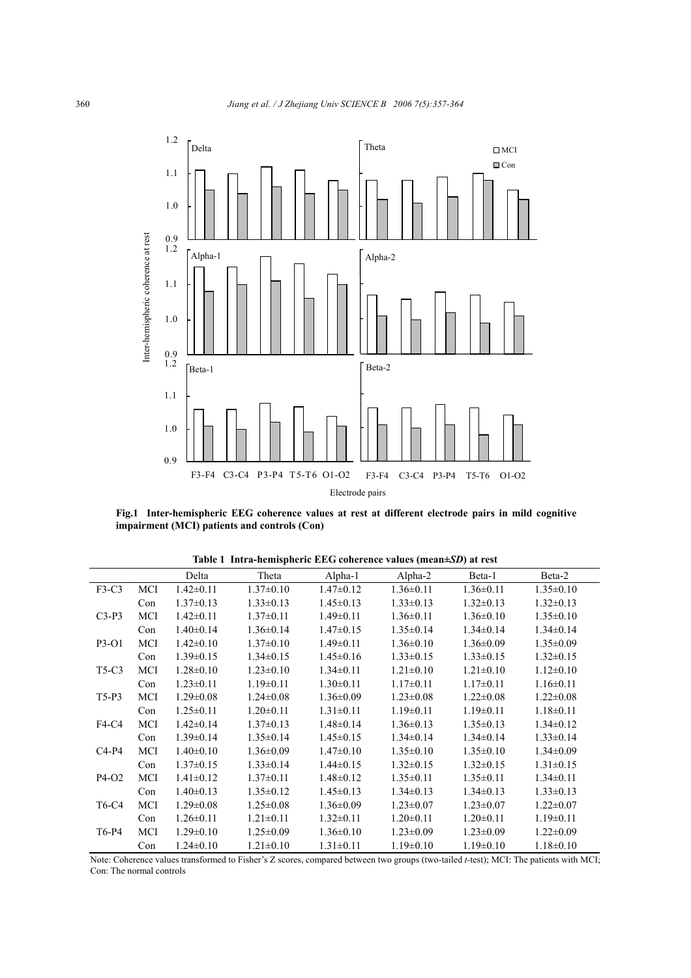

**Fig.1 Inter-hemispheric EEG coherence values at rest at different electrode pairs in mild cognitive impairment (MCI) patients and controls (Con)**

|                                |     | Delta           | Theta           |                                 | Alpha-1 Alpha-2 Beta-1 |                             | Beta-2          |
|--------------------------------|-----|-----------------|-----------------|---------------------------------|------------------------|-----------------------------|-----------------|
| $F3-C3$                        | MCI | $1.42 \pm 0.11$ | $1.37 \pm 0.10$ | $1.47 \pm 0.12$                 | $1.36 \pm 0.11$        | $1.36 \pm 0.11$             | $1.35 \pm 0.10$ |
|                                | Con | $1.37\pm0.13$   | $1.33 \pm 0.13$ | $1.45 \pm 0.13$                 | $1.33 \pm 0.13$        | $1.32 \pm 0.13$             | $1.32 \pm 0.13$ |
| $C3-P3$                        | MCI | $1.42 \pm 0.11$ | $1.37 \pm 0.11$ | $1.49 \pm 0.11$                 | $1.36 \pm 0.11$        | $1.36 \pm 0.10$             | $1.35 \pm 0.10$ |
|                                | Con | $1.40 \pm 0.14$ | $1.36 \pm 0.14$ | $1.47 \pm 0.15$                 | $1.35 \pm 0.14$        | $1.34 \pm 0.14$             | $1.34\pm0.14$   |
| P3-O1                          | MCI | $1.42 \pm 0.10$ | $1.37 \pm 0.10$ | $1.49 \pm 0.11$                 | $1.36 \pm 0.10$        | $1.36 \pm 0.09$             | $1.35 \pm 0.09$ |
|                                | Con | $1.39 \pm 0.15$ | $1.34 \pm 0.15$ | $1.45 \pm 0.16$                 | $1.33 \pm 0.15$        | $1.33 \pm 0.15$             | $1.32 \pm 0.15$ |
| T <sub>5</sub> -C <sub>3</sub> | MCI | $1.28 \pm 0.10$ | $1.23 \pm 0.10$ | $1.34 \pm 0.11$                 | $1.21 \pm 0.10$        | $1.21 \pm 0.10$             | $1.12\pm0.10$   |
|                                | Con | $1.23 \pm 0.11$ | $1.19\pm0.11$   | $1.30 \pm 0.11$                 | $1.17 \pm 0.11$        | $1.17 \pm 0.11$             | $1.16 \pm 0.11$ |
| $T5-P3$                        | MCI | $1.29 \pm 0.08$ | $1.24 \pm 0.08$ | $1.36 \pm 0.09$                 | $1.23 \pm 0.08$        | $1.22 \pm 0.08$             | $1.22 \pm 0.08$ |
|                                | Con | $1.25 \pm 0.11$ | $1.20 \pm 0.11$ | $1.31 \pm 0.11$                 | $1.19 \pm 0.11$        | $1.19 \pm 0.11$             | $1.18 \pm 0.11$ |
| F4-C4                          | MCI | $1.42 \pm 0.14$ | $1.37\pm0.13$   | $1.48 \pm 0.14$                 | $1.36 \pm 0.13$        | $1.35 \pm 0.13$             | $1.34 \pm 0.12$ |
|                                | Con | $1.39 \pm 0.14$ | $1.35 \pm 0.14$ | $1.45 \pm 0.15$                 | $1.34 \pm 0.14$        | $1.34 \pm 0.14$             | $1.33 \pm 0.14$ |
| $C4-P4$                        | MCI | $1.40 \pm 0.10$ | $1.36 \pm 0.09$ | $1.47 \pm 0.10$                 | $1.35 \pm 0.10$        | $1.35 \pm 0.10$             | $1.34 \pm 0.09$ |
|                                | Con | $1.37\pm0.15$   | $1.33 \pm 0.14$ | $1.44\pm0.15$                   | $1.32 \pm 0.15$        | $1.32 \pm 0.15$             | $1.31 \pm 0.15$ |
| P4-O2                          | MCI | $1.41 \pm 0.12$ | $1.37 \pm 0.11$ | $1.48 \pm 0.12$                 | $1.35 \pm 0.11$        | $1.35 \pm 0.11$             | $1.34 \pm 0.11$ |
|                                | Con | $1.40 \pm 0.13$ | $1.35 \pm 0.12$ | $1.45 \pm 0.13$                 | $1.34 \pm 0.13$        | $1.34 \pm 0.13$             | $1.33 \pm 0.13$ |
| T6-C4                          | MCI | $1.29 \pm 0.08$ | $1.25 \pm 0.08$ | $1.36 \pm 0.09$                 | $1.23 \pm 0.07$        | $1.23 \pm 0.07$             | $1.22 \pm 0.07$ |
|                                | Con | $1.26 \pm 0.11$ | $1.21 \pm 0.11$ | $1.32 \pm 0.11$                 | $1.20 \pm 0.11$        | $1.20 \pm 0.11$             | $1.19 \pm 0.11$ |
| T6-P4                          | MCI | $1.29 \pm 0.10$ | $1.25 \pm 0.09$ | $1.36 \pm 0.10$                 | $1.23 \pm 0.09$        | $1.23 \pm 0.09$             | $1.22 \pm 0.09$ |
|                                | Con | $1.24 \pm 0.10$ | $1.21 \pm 0.10$ | $1.31 \pm 0.11$ $1.19 \pm 0.10$ |                        | $1.19\pm0.10$ $1.18\pm0.10$ |                 |

**Table 1 Intra-hemispheric EEG coherence values (mean±***SD***) at rest** 

Note: Coherence values transformed to Fisher's Z scores, compared between two groups (two-tailed *t*-test); MCI: The patients with MCI; Con: The normal controls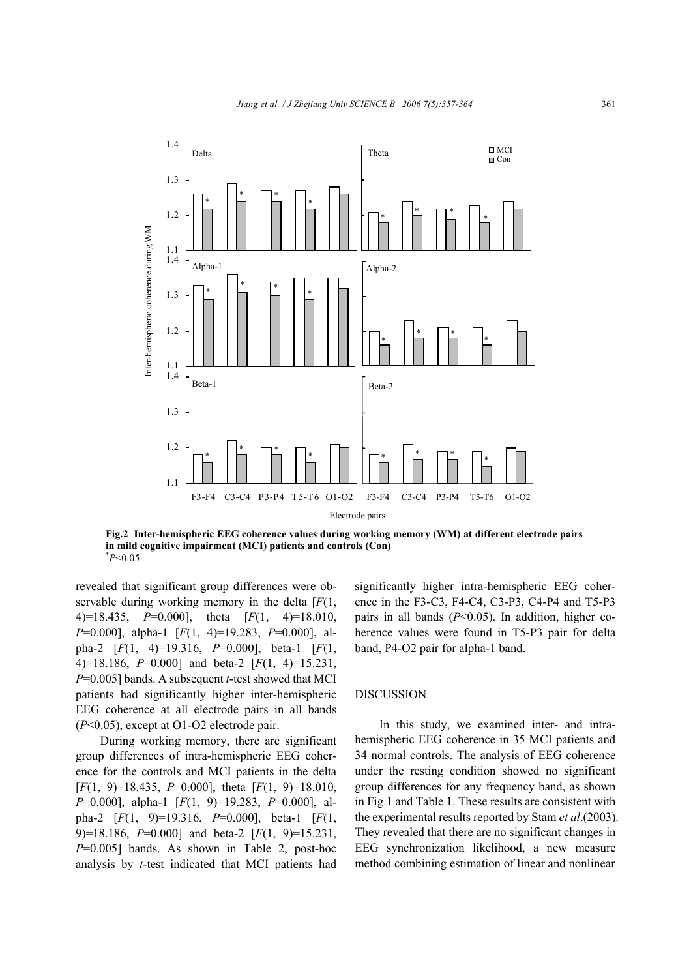

**Fig.2 Inter-hemispheric EEG coherence values during working memory (WM) at different electrode pairs in mild cognitive impairment (MCI) patients and controls (Con)** \* *P*<0.05

revealed that significant group differences were observable during working memory in the delta [*F*(1, 4)=18.435, *P*=0.000], theta [*F*(1, 4)=18.010, *P*=0.000], alpha-1 [*F*(1, 4)=19.283, *P*=0.000], alpha-2 [*F*(1, 4)=19.316, *P*=0.000], beta-1 [*F*(1, 4)=18.186, *P*=0.000] and beta-2 [*F*(1, 4)=15.231, *P*=0.005] bands. A subsequent *t*-test showed that MCI patients had significantly higher inter-hemispheric EEG coherence at all electrode pairs in all bands (*P*<0.05), except at O1-O2 electrode pair.

During working memory, there are significant group differences of intra-hemispheric EEG coherence for the controls and MCI patients in the delta [*F*(1, 9)=18.435, *P*=0.000], theta [*F*(1, 9)=18.010, *P*=0.000], alpha-1 [*F*(1, 9)=19.283, *P*=0.000], alpha-2 [*F*(1, 9)=19.316, *P*=0.000], beta-1 [*F*(1, 9)=18.186, *P*=0.000] and beta-2 [*F*(1, 9)=15.231, *P*=0.005] bands. As shown in Table 2, post-hoc analysis by *t*-test indicated that MCI patients had significantly higher intra-hemispheric EEG coherence in the F3-C3, F4-C4, C3-P3, C4-P4 and T5-P3 pairs in all bands  $(P<0.05)$ . In addition, higher coherence values were found in T5-P3 pair for delta band, P4-O2 pair for alpha-1 band.

## DISCUSSION

In this study, we examined inter- and intrahemispheric EEG coherence in 35 MCI patients and 34 normal controls. The analysis of EEG coherence under the resting condition showed no significant group differences for any frequency band, as shown in Fig.1 and Table 1. These results are consistent with the experimental results reported by Stam *et al*.(2003). They revealed that there are no significant changes in EEG synchronization likelihood, a new measure method combining estimation of linear and nonlinear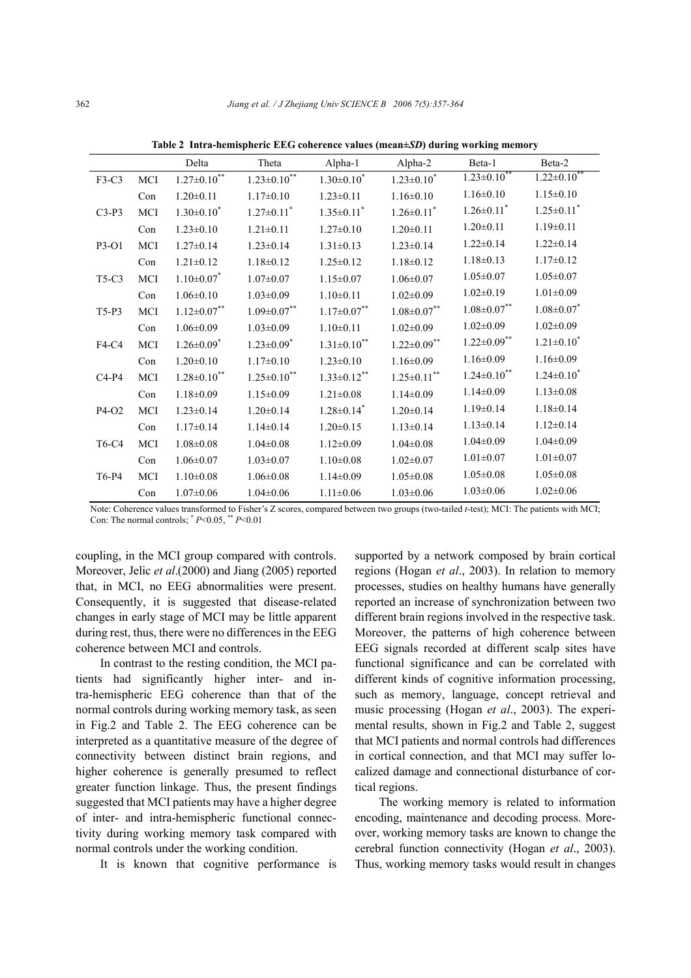|         |     | Delta                         | Theta                         | Alpha-1                       | Alpha-2                      | Beta-1                       | Beta-2                       |
|---------|-----|-------------------------------|-------------------------------|-------------------------------|------------------------------|------------------------------|------------------------------|
| F3-C3   | MCI | $1.27 \pm 0.10^{**}$          | $1.23 \pm 0.10^{**}$          | $1.30 \pm 0.10^*$             | $1.23 \pm 0.10^*$            | $1.23 \pm 0.10$              | $1.22 \pm 0.10$              |
|         | Con | $1.20 \pm 0.11$               | $1.17 \pm 0.10$               | $1.23 \pm 0.11$               | $1.16 \pm 0.10$              | $1.16 \pm 0.10$              | $1.15 \pm 0.10$              |
| $C3-P3$ | MCI | $1.30 \pm 0.10^*$             | $1.27 \pm 0.11$ <sup>*</sup>  | $1.35 \pm 0.11$ <sup>*</sup>  | $1.26 \pm 0.11$ <sup>*</sup> | $1.26 \pm 0.11$ <sup>*</sup> | $1.25 \pm 0.11$ <sup>*</sup> |
|         | Con | $1.23 \pm 0.10$               | $1.21 \pm 0.11$               | $1.27 \pm 0.10$               | $1.20 \pm 0.11$              | $1.20 \pm 0.11$              | $1.19 \pm 0.11$              |
| P3-O1   | MCI | $1.27 \pm 0.14$               | $1.23 \pm 0.14$               | $1.31 \pm 0.13$               | $1.23 \pm 0.14$              | $1.22 \pm 0.14$              | $1.22 \pm 0.14$              |
|         | Con | $1.21 \pm 0.12$               | $1.18 \pm 0.12$               | $1.25 \pm 0.12$               | $1.18 \pm 0.12$              | $1.18 \pm 0.13$              | $1.17 \pm 0.12$              |
| T5-C3   | MCI | $1.10 \pm 0.07$               | $1.07 \pm 0.07$               | $1.15 \pm 0.07$               | $1.06 \pm 0.07$              | $1.05 \pm 0.07$              | $1.05 \pm 0.07$              |
|         | Con | $1.06 \pm 0.10$               | $1.03 \pm 0.09$               | $1.10 \pm 0.11$               | $1.02 \pm 0.09$              | $1.02 \pm 0.19$              | $1.01 \pm 0.09$              |
| $T5-P3$ | MCI | $1.12 \pm 0.07$ **            | $1.09 \pm 0.07$ **            | $1.17 \pm 0.07$ **            | $1.08 \pm 0.07$ **           | $1.08 \pm 0.07$ **           | $1.08 \pm 0.07$ *            |
|         | Con | $1.06 \pm 0.09$               | $1.03 \pm 0.09$               | $1.10 \pm 0.11$               | $1.02 \pm 0.09$              | $1.02 \pm 0.09$              | $1.02 \pm 0.09$              |
| F4-C4   | MCI | $1.26 \pm 0.09$ <sup>*</sup>  | $1.23 \pm 0.09$ <sup>*</sup>  | $1.31 \pm 0.10$ <sup>**</sup> | $1.22 \pm 0.09$ **           | $1.22 \pm 0.09$ **           | $1.21 \pm 0.10^*$            |
|         | Con | $1.20 \pm 0.10$               | $1.17 \pm 0.10$               | $1.23 \pm 0.10$               | $1.16 \pm 0.09$              | $1.16 \pm 0.09$              | $1.16 \pm 0.09$              |
| $C4-P4$ | MCI | $1.28 \pm 0.10$ <sup>**</sup> | $1.25 \pm 0.10$ <sup>**</sup> | $1.33 \pm 0.12$ **            | $1.25 \pm 0.11$ **           | $1.24 \pm 0.10$ **           | $1.24 \pm 0.10^*$            |
|         | Con | $1.18 \pm 0.09$               | $1.15 \pm 0.09$               | $1.21 \pm 0.08$               | $1.14 \pm 0.09$              | $1.14 \pm 0.09$              | $1.13 \pm 0.08$              |
| P4-O2   | MCI | $1.23 \pm 0.14$               | $1.20 \pm 0.14$               | $1.28 \pm 0.14$ <sup>*</sup>  | $1.20 \pm 0.14$              | $1.19 \pm 0.14$              | $1.18 \pm 0.14$              |
|         | Con | $1.17 \pm 0.14$               | $1.14\pm0.14$                 | $1.20 \pm 0.15$               | $1.13 \pm 0.14$              | $1.13 \pm 0.14$              | $1.12 \pm 0.14$              |
| T6-C4   | MCI | $1.08 \pm 0.08$               | $1.04 \pm 0.08$               | $1.12 \pm 0.09$               | $1.04 \pm 0.08$              | $1.04 \pm 0.09$              | $1.04 \pm 0.09$              |
|         | Con | $1.06 \pm 0.07$               | $1.03 \pm 0.07$               | $1.10 \pm 0.08$               | $1.02 \pm 0.07$              | $1.01 \pm 0.07$              | $1.01 \pm 0.07$              |
| T6-P4   | MCI | $1.10 \pm 0.08$               | $1.06 \pm 0.08$               | $1.14 \pm 0.09$               | $1.05 \pm 0.08$              | $1.05 \pm 0.08$              | $1.05 \pm 0.08$              |
|         | Con | $1.07 \pm 0.06$               | $1.04 \pm 0.06$               | $1.11 \pm 0.06$               | $1.03 \pm 0.06$              | $1.03 \pm 0.06$              | $1.02 \pm 0.06$              |

**Table 2 Intra-hemispheric EEG coherence values (mean±***SD***) during working memory** 

Note: Coherence values transformed to Fisher's Z scores, compared between two groups (two-tailed *t*-test); MCI: The patients with MCI; Con: The normal controls; \* *P*<0.05, \*\* *P*<0.01

coupling, in the MCI group compared with controls. Moreover, Jelic *et al*.(2000) and Jiang (2005) reported that, in MCI, no EEG abnormalities were present. Consequently, it is suggested that disease-related changes in early stage of MCI may be little apparent during rest, thus, there were no differences in the EEG coherence between MCI and controls.

In contrast to the resting condition, the MCI patients had significantly higher inter- and intra-hemispheric EEG coherence than that of the normal controls during working memory task, as seen in Fig.2 and Table 2. The EEG coherence can be interpreted as a quantitative measure of the degree of connectivity between distinct brain regions, and higher coherence is generally presumed to reflect greater function linkage. Thus, the present findings suggested that MCI patients may have a higher degree of inter- and intra-hemispheric functional connectivity during working memory task compared with normal controls under the working condition.

It is known that cognitive performance is

supported by a network composed by brain cortical regions (Hogan *et al*., 2003). In relation to memory processes, studies on healthy humans have generally reported an increase of synchronization between two different brain regions involved in the respective task. Moreover, the patterns of high coherence between EEG signals recorded at different scalp sites have functional significance and can be correlated with different kinds of cognitive information processing, such as memory, language, concept retrieval and music processing (Hogan *et al*., 2003). The experimental results, shown in Fig.2 and Table 2, suggest that MCI patients and normal controls had differences in cortical connection, and that MCI may suffer localized damage and connectional disturbance of cortical regions.

The working memory is related to information encoding, maintenance and decoding process. Moreover, working memory tasks are known to change the cerebral function connectivity (Hogan *et al*., 2003). Thus, working memory tasks would result in changes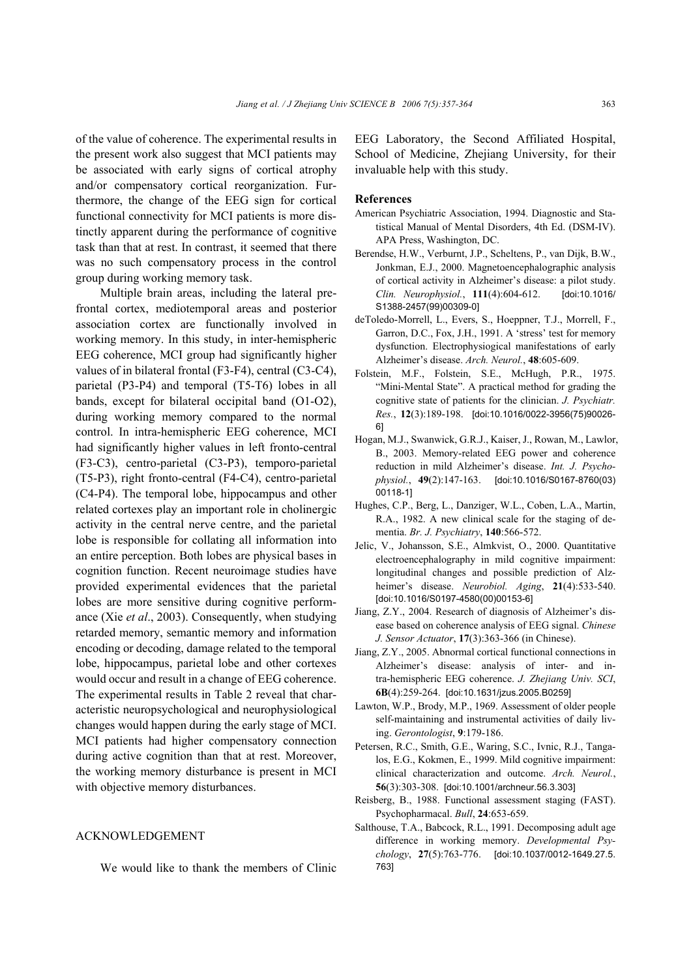of the value of coherence. The experimental results in the present work also suggest that MCI patients may be associated with early signs of cortical atrophy and/or compensatory cortical reorganization. Furthermore, the change of the EEG sign for cortical functional connectivity for MCI patients is more distinctly apparent during the performance of cognitive task than that at rest. In contrast, it seemed that there was no such compensatory process in the control group during working memory task.

Multiple brain areas, including the lateral prefrontal cortex, mediotemporal areas and posterior association cortex are functionally involved in working memory. In this study, in inter-hemispheric EEG coherence, MCI group had significantly higher values of in bilateral frontal (F3-F4), central (C3-C4), parietal (P3-P4) and temporal (T5-T6) lobes in all bands, except for bilateral occipital band (O1-O2), during working memory compared to the normal control. In intra-hemispheric EEG coherence, MCI had significantly higher values in left fronto-central (F3-C3), centro-parietal (C3-P3), temporo-parietal (T5-P3), right fronto-central (F4-C4), centro-parietal (C4-P4). The temporal lobe, hippocampus and other related cortexes play an important role in cholinergic activity in the central nerve centre, and the parietal lobe is responsible for collating all information into an entire perception. Both lobes are physical bases in cognition function. Recent neuroimage studies have provided experimental evidences that the parietal lobes are more sensitive during cognitive performance (Xie *et al*., 2003). Consequently, when studying retarded memory, semantic memory and information encoding or decoding, damage related to the temporal lobe, hippocampus, parietal lobe and other cortexes would occur and result in a change of EEG coherence. The experimental results in Table 2 reveal that characteristic neuropsychological and neurophysiological changes would happen during the early stage of MCI. MCI patients had higher compensatory connection during active cognition than that at rest. Moreover, the working memory disturbance is present in MCI with objective memory disturbances.

## ACKNOWLEDGEMENT

We would like to thank the members of Clinic

EEG Laboratory, the Second Affiliated Hospital, School of Medicine, Zhejiang University, for their invaluable help with this study.

#### **References**

- American Psychiatric Association, 1994. Diagnostic and Statistical Manual of Mental Disorders, 4th Ed. (DSM-IV). APA Press, Washington, DC.
- Berendse, H.W., Verburnt, J.P., Scheltens, P., van Dijk, B.W., Jonkman, E.J., 2000. Magnetoencephalographic analysis of cortical activity in Alzheimer's disease: a pilot study. *Clin. Neurophysiol.*, **111**(4):604-612. [doi:10.1016/ S1388-2457(99)00309-0]
- deToledo-Morrell, L., Evers, S., Hoeppner, T.J., Morrell, F., Garron, D.C., Fox, J.H., 1991. A 'stress' test for memory dysfunction. Electrophysiogical manifestations of early Alzheimer's disease. *Arch. Neurol.*, **48**:605-609.
- Folstein, M.F., Folstein, S.E., McHugh, P.R., 1975. "Mini-Mental State". A practical method for grading the cognitive state of patients for the clinician. *J. Psychiatr. Res.*, **12**(3):189-198. [doi:10.1016/0022-3956(75)90026- 6]
- Hogan, M.J., Swanwick, G.R.J., Kaiser, J., Rowan, M., Lawlor, B., 2003. Memory-related EEG power and coherence reduction in mild Alzheimer's disease. *Int. J. Psychophysiol.*, **49**(2):147-163. [doi:10.1016/S0167-8760(03) 00118-1]
- Hughes, C.P., Berg, L., Danziger, W.L., Coben, L.A., Martin, R.A., 1982. A new clinical scale for the staging of dementia. *Br. J. Psychiatry*, **140**:566-572.
- Jelic, V., Johansson, S.E., Almkvist, O., 2000. Quantitative electroencephalography in mild cognitive impairment: longitudinal changes and possible prediction of Alzheimer's disease. *Neurobiol. Aging*, **21**(4):533-540. [doi:10.1016/S0197-4580(00)00153-6]
- Jiang, Z.Y., 2004. Research of diagnosis of Alzheimer's disease based on coherence analysis of EEG signal. *Chinese J. Sensor Actuator*, **17**(3):363-366 (in Chinese).
- Jiang, Z.Y., 2005. Abnormal cortical functional connections in Alzheimer's disease: analysis of inter- and intra-hemispheric EEG coherence. *J. Zhejiang Univ. SCI*, **6B**(4):259-264. [doi:10.1631/jzus.2005.B0259]
- Lawton, W.P., Brody, M.P., 1969. Assessment of older people self-maintaining and instrumental activities of daily living. *Gerontologist*, **9**:179-186.
- Petersen, R.C., Smith, G.E., Waring, S.C., Ivnic, R.J., Tangalos, E.G., Kokmen, E., 1999. Mild cognitive impairment: clinical characterization and outcome. *Arch. Neurol.*, **56**(3):303-308. [doi:10.1001/archneur.56.3.303]
- Reisberg, B., 1988. Functional assessment staging (FAST). Psychopharmacal. *Bull*, **24**:653-659.
- Salthouse, T.A., Babcock, R.L., 1991. Decomposing adult age difference in working memory. *Developmental Psychology*, **27**(5):763-776. [doi:10.1037/0012-1649.27.5. 763]